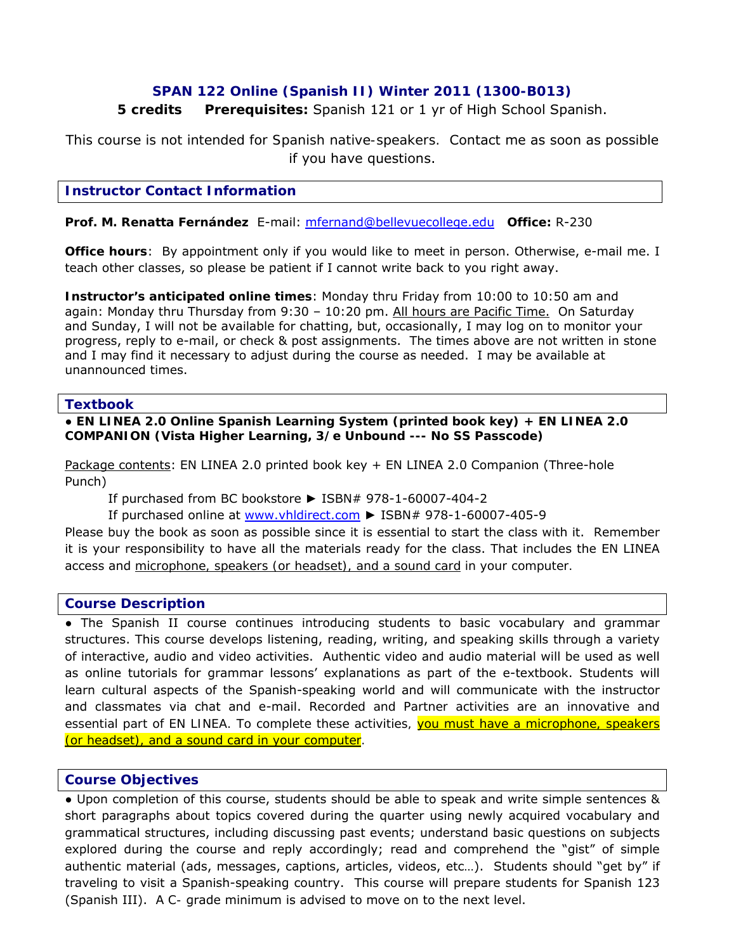# **SPAN 122 Online (Spanish II) Winter 2011 (1300-B013)**

# **5 credits Prerequisites:** Spanish 121 or 1 yr of High School Spanish.

*This course is not intended for Spanish native-speakers.* Contact me as soon as possible if you have questions.

### **Instructor Contact Information**

**Prof. M. Renatta Fernández** E-mail: mfernand@bellevuecollege.edu **Office:** R-230

**Office hours**: By appointment only if you would like to meet in person. Otherwise, e-mail me. I teach other classes, so please be patient if I cannot write back to you right away.

**Instructor's anticipated online times**: Monday thru Friday from 10:00 to 10:50 am and again: Monday thru Thursday from 9:30 - 10:20 pm. All hours are Pacific Time. On Saturday and Sunday, I will not be available for chatting, but, occasionally, I may log on to monitor your progress, reply to e-mail, or check & post assignments. The times above are not written in stone and I may find it necessary to adjust during the course as needed. I may be available at unannounced times.

### **Textbook**

#### ● **EN LINEA 2.0 Online Spanish Learning System (printed book key) + EN LINEA 2.0 COMPANION (Vista Higher Learning, 3/e Unbound --- No SS Passcode)**

Package contents: EN LINEA 2.0 printed book key + EN LINEA 2.0 Companion (Three-hole Punch)

If purchased from BC bookstore ► ISBN# 978-1-60007-404-2

If purchased online at www.vhldirect.com ► ISBN# 978-1-60007-405-9

Please buy the book as soon as possible since it is essential to start the class with it. Remember it is your responsibility to have all the materials ready for the class. That includes the EN LINEA access and *microphone, speakers (or headset), and a sound card in your computer.*

### **Course Description**

• The Spanish II course continues introducing students to basic vocabulary and grammar structures. This course develops listening, reading, writing, and speaking skills through a variety of interactive, audio and video activities. Authentic video and audio material will be used as well as online tutorials for grammar lessons' explanations as part of the e-textbook. Students will learn cultural aspects of the Spanish-speaking world and will communicate with the instructor and classmates via chat and e-mail. *Recorded and Partner activities are an innovative and essential part of EN LINEA. To complete these activities, you must have a microphone, speakers (or headset), and a sound card in your computer.* 

### **Course Objectives**

● Upon completion of this course, students should be able to speak and write simple sentences & short paragraphs about topics covered during the quarter using newly acquired vocabulary and grammatical structures, including discussing past events; understand basic questions on subjects explored during the course and reply accordingly; read and comprehend the "gist" of simple authentic material (ads, messages, captions, articles, videos, etc…). Students should "get by" if traveling to visit a Spanish-speaking country. This course will prepare students for Spanish 123 (Spanish III). A *C-* grade minimum is advised to move on to the next level.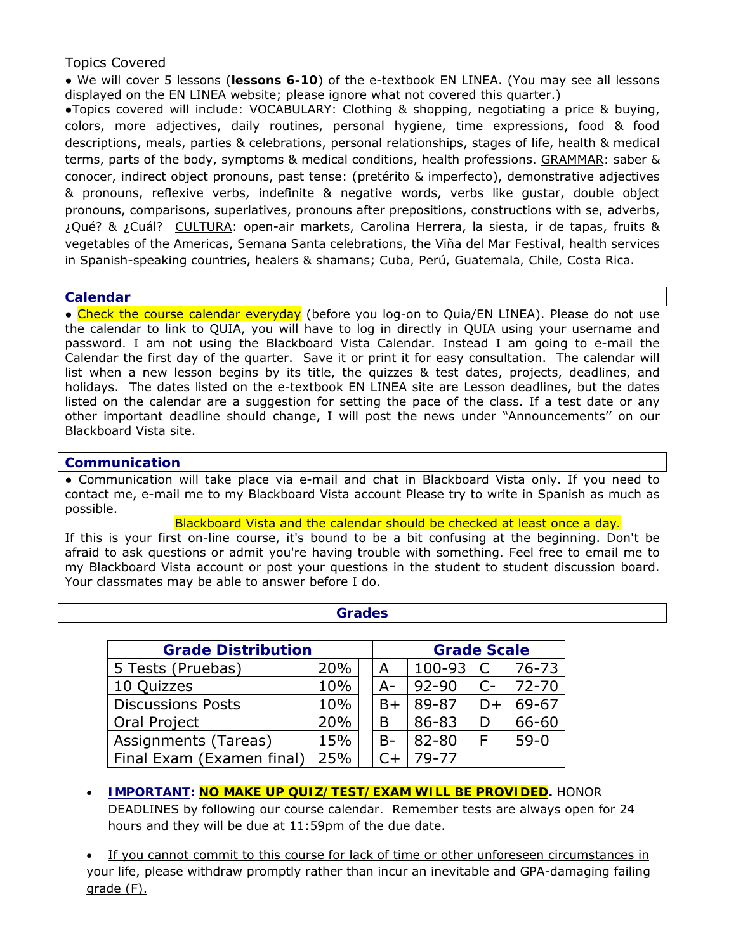# Topics Covered

● We will cover 5 lessons (**lessons 6-10**) of the e-textbook EN LINEA. (You may see all lessons displayed on the EN LINEA website; please ignore what not covered this quarter.)

●Topics covered will include: VOCABULARY: Clothing & shopping, negotiating a price & buying, colors, more adjectives, daily routines, personal hygiene, time expressions, food & food descriptions, meals, parties & celebrations, personal relationships, stages of life, health & medical terms, parts of the body, symptoms & medical conditions, health professions. GRAMMAR: *saber & conocer*, indirect object pronouns, past tense: (*pretérito & imperfecto*), demonstrative adjectives & pronouns, reflexive verbs, indefinite & negative words, verbs like *gustar*, double object pronouns, comparisons, superlatives, pronouns after prepositions, constructions with *se,* adverbs, *¿Qué?* & *¿Cuál?* CULTURA: open-air markets, Carolina Herrera, *la siesta, ir de tapas*, fruits & vegetables of the Americas, *Semana Santa* celebrations, the *Viña del Mar Festival*, health services in Spanish-speaking countries, healers & shamans; *Cuba, Perú, Guatemala, Chile, Costa Rica*.

## **Calendar**

● Check the course calendar everyday (before you log-on to *Quia*/EN LINEA). Please do not use the calendar to link to QUIA, you will have to log in directly in QUIA using your username and password. I am not using the Blackboard Vista Calendar. Instead I am going to e-mail the Calendar the first day of the quarter. Save it or print it for easy consultation. The calendar will list when a new lesson begins by its title, the quizzes & test dates, projects, deadlines, and holidays. The dates listed on the e-textbook EN LINEA site are Lesson deadlines, but the dates listed on the calendar are a suggestion for setting the pace of the class. If a test date or any other important deadline should change, I will post the news under "Announcements'' on our Blackboard Vista site.

## **Communication**

● Communication will take place via e-mail and chat in Blackboard Vista only. If you need to contact me, e-mail me to my Blackboard Vista account Please try to write in Spanish as much as possible.

#### Blackboard Vista and the calendar should be checked at least once a day.

If this is your first on-line course, it's bound to be a bit confusing at the beginning. Don't be afraid to ask questions or admit you're having trouble with something. Feel free to email me to my Blackboard Vista account or post your questions in the student to student discussion board. Your classmates may be able to answer before I do.

| <b>Grades</b>             |     |    |                    |           |      |           |  |
|---------------------------|-----|----|--------------------|-----------|------|-----------|--|
| <b>Grade Distribution</b> |     |    | <b>Grade Scale</b> |           |      |           |  |
| 5 Tests (Pruebas)         | 20% | A  |                    | 100-93    |      | $76 - 73$ |  |
| 10 Quizzes                | 10% | A- |                    | $92 - 90$ | $C-$ | $72 - 70$ |  |
| <b>Discussions Posts</b>  | 10% | B+ |                    | 89-87     | $D+$ | 69-67     |  |
| Oral Project              | 20% | B  |                    | 86-83     | D    | 66-60     |  |
| Assignments (Tareas)      | 15% | B- |                    | 82-80     | F    | $59-0$    |  |
| Final Exam (Examen final) | 25% |    |                    | $79 - 77$ |      |           |  |

# • **IMPORTANT: NO MAKE UP QUIZ/TEST/EXAM WILL BE PROVIDED.** HONOR DEADLINES by following our course calendar. Remember tests are always open for 24 hours and they will be due at 11:59pm of the due date.

If you cannot commit to this course for lack of time or other unforeseen circumstances in your life, please withdraw promptly rather than incur an inevitable and GPA-damaging failing grade (F).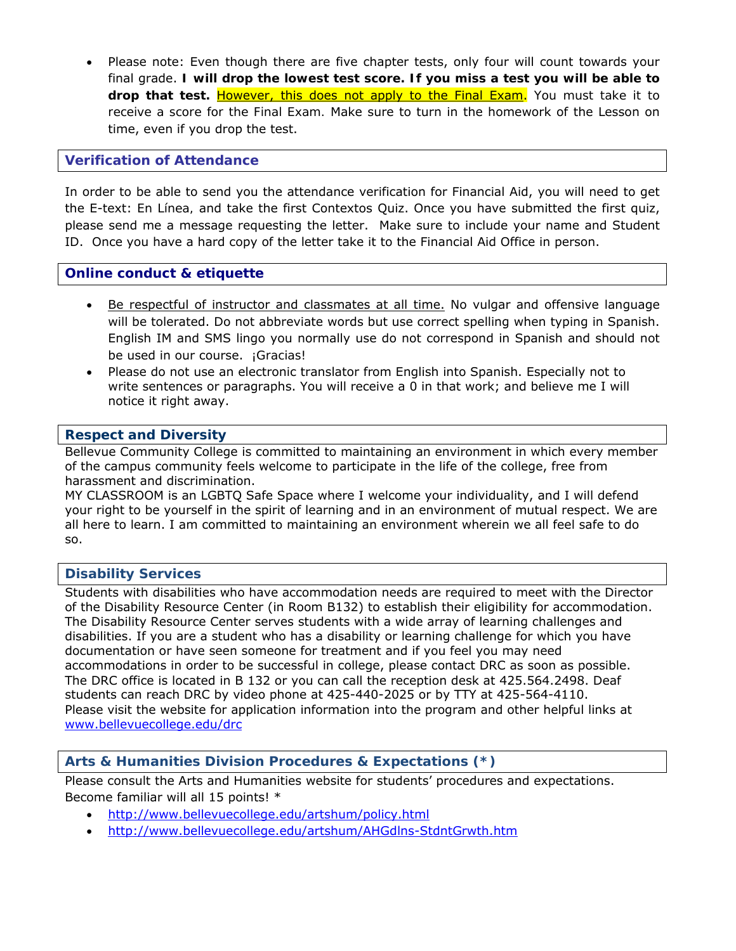• Please note: Even though there are five chapter tests, only four will count towards your final grade. **I will drop the lowest test score. If you miss a test you will be able to drop that test.** However, this does not apply to the Final Exam. *You must take it to receive a score for the Final Exam.* Make sure to turn in the homework of the Lesson on time, even if you drop the test.

## **Verification of Attendance**

In order to be able to send you the attendance verification for Financial Aid, you will need to get the E-text: *En Línea,* and take the first Contextos Quiz. Once you have submitted the first quiz, please send me a message requesting the letter. Make sure to include your name and Student ID. Once you have a hard copy of the letter take it to the Financial Aid Office in person.

## **Online conduct & etiquette**

- Be respectful of instructor and classmates at all time. No vulgar and offensive language will be tolerated. Do not abbreviate words but use correct spelling when typing in Spanish. English IM and SMS lingo you normally use do not correspond in Spanish and should not be used in our course. *¡Gracias!*
- Please do not use an electronic translator from English into Spanish. Especially not to write sentences or paragraphs. You will receive a 0 in that work; and believe me I will notice it right away.

## **Respect and Diversity**

Bellevue Community College is committed to maintaining an environment in which every member of the campus community feels welcome to participate in the life of the college, free from harassment and discrimination.

MY CLASSROOM is an LGBTQ Safe Space where I welcome your individuality, and I will defend your right to be yourself in the spirit of learning and in an environment of mutual respect. We are all here to learn. I am committed to maintaining an environment wherein we all feel safe to do so.

## **Disability Services**

Students with disabilities who have accommodation needs are required to meet with the Director of the Disability Resource Center (in Room B132) to establish their eligibility for accommodation. The Disability Resource Center serves students with a wide array of learning challenges and disabilities. If you are a student who has a disability or learning challenge for which you have documentation or have seen someone for treatment and if you feel you may need accommodations in order to be successful in college, please contact DRC as soon as possible. The DRC office is located in B 132 or you can call the reception desk at 425.564.2498. Deaf students can reach DRC by video phone at 425-440-2025 or by TTY at 425-564-4110. Please visit the website for application information into the program and other helpful links at www.bellevuecollege.edu/drc

### **Arts & Humanities Division Procedures & Expectations (\*)**

Please consult the Arts and Humanities website for students' procedures and expectations. Become familiar will all 15 points! \*

- http://www.bellevuecollege.edu/artshum/policy.html
- http://www.bellevuecollege.edu/artshum/AHGdlns-StdntGrwth.htm